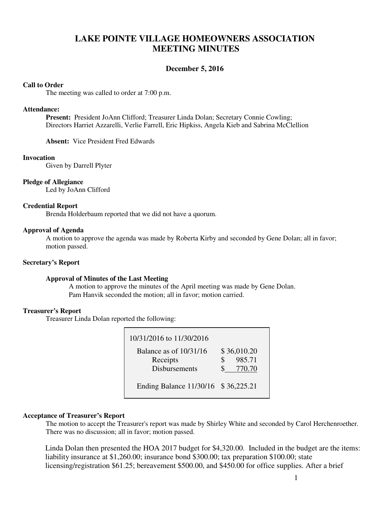# **LAKE POINTE VILLAGE HOMEOWNERS ASSOCIATION MEETING MINUTES**

# **December 5, 2016**

#### **Call to Order**

The meeting was called to order at 7:00 p.m.

#### **Attendance:**

**Present:** President JoAnn Clifford; Treasurer Linda Dolan; Secretary Connie Cowling; Directors Harriet Azzarelli, Verlie Farrell, Eric Hipkiss, Angela Kieb and Sabrina McClellion

**Absent:** Vice President Fred Edwards

### **Invocation**

Given by Darrell Plyter

### **Pledge of Allegiance**

Led by JoAnn Clifford

### **Credential Report**

Brenda Holderbaum reported that we did not have a quorum.

### **Approval of Agenda**

 A motion to approve the agenda was made by Roberta Kirby and seconded by Gene Dolan; all in favor; motion passed.

# **Secretary's Report**

# **Approval of Minutes of the Last Meeting**

A motion to approve the minutes of the April meeting was made by Gene Dolan. Pam Hanvik seconded the motion; all in favor; motion carried.

# **Treasurer's Report**

Treasurer Linda Dolan reported the following:

| 10/31/2016 to 11/30/2016                                     |                                       |
|--------------------------------------------------------------|---------------------------------------|
| Balance as of $10/31/16$<br>Receipts<br><b>Disbursements</b> | \$36,010.20<br>985.71<br>\$<br>770.70 |
| Ending Balance 11/30/16 \$36,225.21                          |                                       |

# **Acceptance of Treasurer's Report**

The motion to accept the Treasurer's report was made by Shirley White and seconded by Carol Herchenroether. There was no discussion; all in favor; motion passed.

Linda Dolan then presented the HOA 2017 budget for \$4,320.00. Included in the budget are the items: liability insurance at \$1,260.00; insurance bond \$300.00; tax preparation \$100.00; state licensing/registration \$61.25; bereavement \$500.00, and \$450.00 for office supplies. After a brief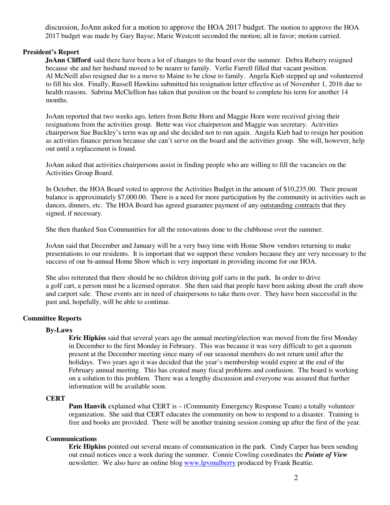discussion, JoAnn asked for a motion to approve the HOA 2017 budget. The motion to approve the HOA 2017 budget was made by Gary Bayse; Marie Westcott seconded the motion; all in favor; motion carried.

# **President's Report**

 **JoAnn Clifford** said there have been a lot of changes to the board over the summer. Debra Reberry resigned because she and her husband moved to be nearer to family. Verlie Farrell filled that vacant position. Al McNeill also resigned due to a move to Maine to be close to family. Angela Kieb stepped up and volunteered to fill his slot. Finally, Russell Hawkins submitted his resignation letter effective as of November 1, 2016 due to health reasons. Sabrina McClellion has taken that position on the board to complete his term for another 14 months.

JoAnn reported that two weeks ago, letters from Bette Horn and Maggie Horn were received giving their resignations from the activities group. Bette was vice chairperson and Maggie was secretary. Activities chairperson Sue Buckley's term was up and she decided not to run again. Angela Kieb had to resign her position as activities finance person because she can't serve on the board and the activities group. She will, however, help out until a replacement is found.

JoAnn asked that activities chairpersons assist in finding people who are willing to fill the vacancies on the Activities Group Board.

In October, the HOA Board voted to approve the Activities Budget in the amount of \$10,235.00. Their present balance is approximately \$7,000.00. There is a need for more participation by the community in activities such as dances, dinners, etc. The HOA Board has agreed guarantee payment of any outstanding contracts that they signed, if necessary.

She then thanked Sun Communities for all the renovations done to the clubhouse over the summer.

JoAnn said that December and January will be a very busy time with Home Show vendors returning to make presentations to our residents. It is important that we support these vendors because they are very necessary to the success of our bi-annual Home Show which is very important in providing income for our HOA.

She also reiterated that there should be no children driving golf carts in the park. In order to drive a golf cart, a person must be a licensed operator. She then said that people have been asking about the craft show and carport sale. These events are in need of chairpersons to take them over. They have been successful in the past and, hopefully, will be able to continue.

# **Committee Reports**

# **By-Laws**

 **Eric Hipkiss** said that several years ago the annual meeting/election was moved from the first Monday in December to the first Monday in February. This was because it was very difficult to get a quorum present at the December meeting since many of our seasonal members do not return until after the holidays. Two years ago it was decided that the year's membership would expire at the end of the February annual meeting. This has created many fiscal problems and confusion. The board is working on a solution to this problem. There was a lengthy discussion and everyone was assured that further information will be available soon.

# **CERT**

**Pam Hanvik** explained what CERT is – (Community Emergency Response Team) a totally volunteer organization. She said that CERT educates the community on how to respond to a disaster. Training is free and books are provided. There will be another training session coming up after the first of the year.

### **Communications**

**Eric Hipkiss** pointed out several means of communication in the park. Cindy Carper has been sending out email notices once a week during the summer. Connie Cowling coordinates the *Pointe of View* newsletter. We also have an online blog www.lpvmulberry produced by Frank Beattie.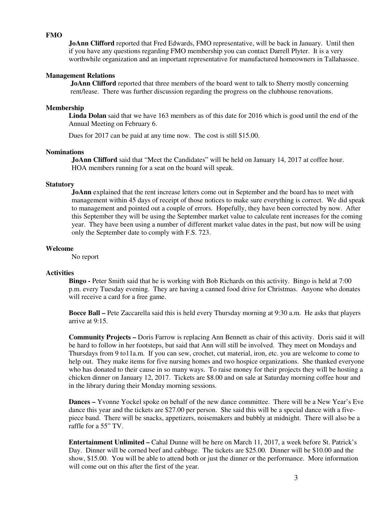# **FMO**

**JoAnn Clifford** reported that Fred Edwards, FMO representative, will be back in January. Until then if you have any questions regarding FMO membership you can contact Darrell Plyter. It is a very worthwhile organization and an important representative for manufactured homeowners in Tallahassee.

#### **Management Relations**

 **JoAnn Clifford** reported that three members of the board went to talk to Sherry mostly concerning rent/lease. There was further discussion regarding the progress on the clubhouse renovations.

#### **Membership**

 **Linda Dolan** said that we have 163 members as of this date for 2016 which is good until the end of the Annual Meeting on February 6.

Dues for 2017 can be paid at any time now. The cost is still \$15.00.

### **Nominations**

**JoAnn Clifford** said that "Meet the Candidates" will be held on January 14, 2017 at coffee hour. HOA members running for a seat on the board will speak.

#### **Statutory**

 **JoAnn** explained that the rent increase letters come out in September and the board has to meet with management within 45 days of receipt of those notices to make sure everything is correct. We did speak to management and pointed out a couple of errors. Hopefully, they have been corrected by now. After this September they will be using the September market value to calculate rent increases for the coming year. They have been using a number of different market value dates in the past, but now will be using only the September date to comply with F.S. 723.

# **Welcome**

No report

### **Activities**

**Bingo** - Peter Smith said that he is working with Bob Richards on this activity. Bingo is held at 7:00 p.m. every Tuesday evening. They are having a canned food drive for Christmas. Anyone who donates will receive a card for a free game.

 **Bocce Ball –** Pete Zaccarella said this is held every Thursday morning at 9:30 a.m. He asks that players arrive at 9:15.

 **Community Projects –** Doris Farrow is replacing Ann Bennett as chair of this activity. Doris said it will be hard to follow in her footsteps, but said that Ann will still be involved. They meet on Mondays and Thursdays from 9 to11a.m. If you can sew, crochet, cut material, iron, etc. you are welcome to come to help out. They make items for five nursing homes and two hospice organizations. She thanked everyone who has donated to their cause in so many ways. To raise money for their projects they will be hosting a chicken dinner on January 12, 2017. Tickets are \$8.00 and on sale at Saturday morning coffee hour and in the library during their Monday morning sessions.

 **Dances –** Yvonne Yockel spoke on behalf of the new dance committee. There will be a New Year's Eve dance this year and the tickets are \$27.00 per person. She said this will be a special dance with a five piece band. There will be snacks, appetizers, noisemakers and bubbly at midnight. There will also be a raffle for a 55" TV.

**Entertainment Unlimited –** Cahal Dunne will be here on March 11, 2017, a week before St. Patrick's Day. Dinner will be corned beef and cabbage. The tickets are \$25.00. Dinner will be \$10.00 and the show, \$15.00. You will be able to attend both or just the dinner or the performance. More information will come out on this after the first of the year.